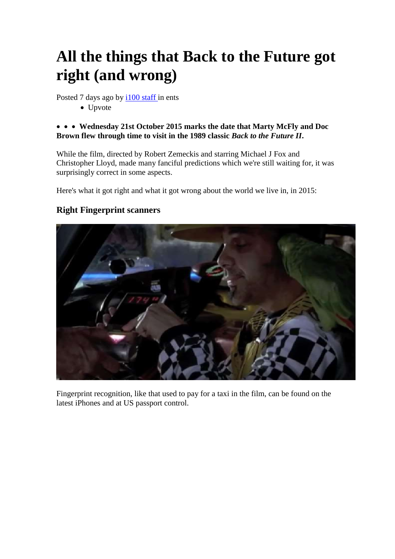# **All the things that Back to the Future got right (and wrong)**

Posted 7 days ago by [i100 staff i](https://www.twitter.com/thei100)n ents

• Upvote

#### **Wednesday 21st October 2015 marks the date that Marty McFly and Doc Brown flew through time to visit in the 1989 classic** *Back to the Future II***.**

While the film, directed by Robert Zemeckis and starring Michael J Fox and Christopher Lloyd, made many fanciful predictions which we're still waiting for, it was surprisingly correct in some aspects.

Here's what it got right and what it got wrong about the world we live in, in 2015:

## **Right Fingerprint scanners**



Fingerprint recognition, like that used to pay for a taxi in the film, can be found on the latest iPhones and at US passport control.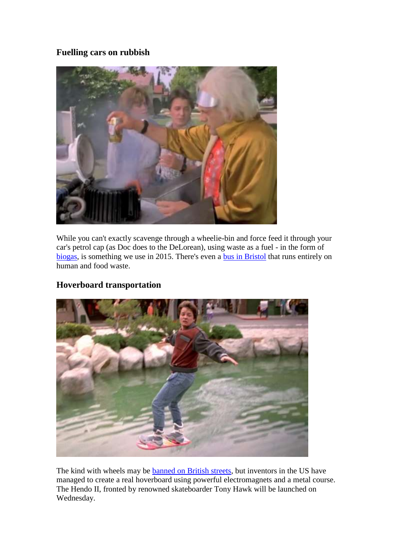## **Fuelling cars on rubbish**



While you can't exactly scavenge through a wheelie-bin and force feed it through your car's petrol cap (as Doc does to the DeLorean), using waste as a fuel - in the form of [biogas,](http://news.bbc.co.uk/1/hi/sci/tech/7047128.stm) is something we use in 2015. There's even a <u>bus in Bristol</u> that runs entirely on human and food waste.

#### **Hoverboard transportation**



The kind with wheels may be [banned on British streets,](http://i100.independent.co.uk/article/airwheel-has-come-up-with-a-totally-ingenious-way-of-getting-around-the-hoverboard-ban--bkRHk0enwe) but inventors in the US have managed to create a real hoverboard using powerful electromagnets and a metal course. The Hendo II, fronted by renowned skateboarder Tony Hawk will be launched on Wednesday.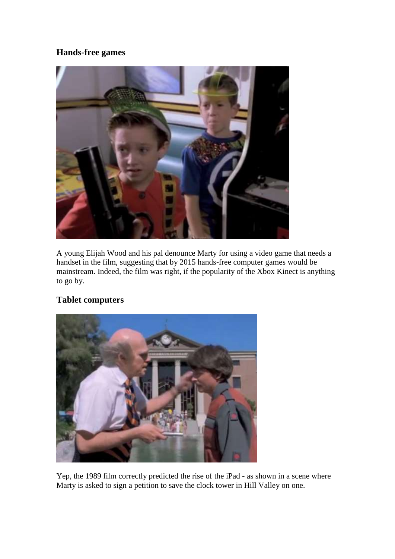# **Hands-free games**



A young Elijah Wood and his pal denounce Marty for using a video game that needs a handset in the film, suggesting that by 2015 hands-free computer games would be mainstream. Indeed, the film was right, if the popularity of the Xbox Kinect is anything to go by.

# **Tablet computers**



Yep, the 1989 film correctly predicted the rise of the iPad - as shown in a scene where Marty is asked to sign a petition to save the clock tower in Hill Valley on one.